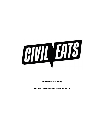

**FINANCIAL STATEMENTS** 

**\_\_\_\_\_\_\_\_**

**FOR THE YEAR ENDED DECEMBER 31, 2020**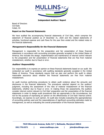

## **Independent Auditors' Report**

Board of Directors Civil Eats Cotati, CA

#### **Report on the Financial Statements**

We have audited the accompanying financial statements of Civil Eats, which comprise the statement of financial position as of December 31, 2020 and the related statements of activities, functional expense and cash flows for the year then ended and the related notes to the financial statements.

## **Management's Responsibility for the Financial Statements**

Management is responsible for the preparation and fair presentation of these financial statements in accordance with accounting principles generally accepted in the United States of America; this includes the design, implementation and maintenance of internal control relevant to the preparation and fair presentation of financial statements that are free from material misstatement, whether due to fraud or error.

## **Auditors' Responsibility**

Our responsibility is to express an opinion on these financial statements based on our audit. We conducted our audit in accordance with auditing standards generally accepted in the United States of America. Those standards require that we plan and perform the audit to obtain reasonable assurance about whether the financial statements are free from material misstatement.

An audit involves performing procedures to obtain audit evidence about the amounts and disclosures in the financial statements. The procedures selected depend on the auditors' judgment, including the assessment of the risks of material misstatement of the financial statements, whether due to fraud or error. In making those risk assessments, the auditors consider internal control relevant to Civil Eats' preparation and fair presentation of the financial statements in order to design audit procedures that are appropriate in the circumstances, but not for the purpose of expressing an opinion on the effectiveness of Civil Eats' internal control. Accordingly, we express no such opinion. An audit also includes evaluating the appropriateness of accounting policies used and the reasonableness of significant accounting estimates made by management, as well as evaluating the overall presentation of the financial statements.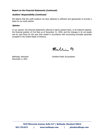## **Report on the Financial Statements (Continued)**

## **Auditors' Responsibility (Continued)**

We believe that the audit evidence we have obtained is sufficient and appropriate to provide a basis for our audit opinion.

#### **Opinion**

In our opinion, the financial statements referred to above present fairly, in all material respects, the financial position of Civil Eats as of December 31, 2020, and the changes in its net assets and its cash flows for the year then ended in accordance with accounting principles generally accepted in the United States of America.

Mulli PC

November 4, 2021

Bethesda, Maryland **Certified Public Accountants**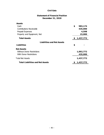## **December 31, 2020 Statement of Financial Position**

| Assets                            |                 |
|-----------------------------------|-----------------|
| Cash                              | \$<br>983,174   |
| Contributions Receivable          | 435,000         |
| Prepaid Expenses                  | 4,598           |
| Property and Equipment, Net       | 15,000          |
| <b>Total Assets</b>               | \$<br>1,437,772 |
| <b>Liabilities and Net Assets</b> |                 |
| <b>Liabilities</b>                | \$              |
| <b>Net Assets</b>                 |                 |
| <b>Without Donor Restrictions</b> | 1,002,772       |
| With Donor Restrictions           | 435,000         |
| <b>Total Net Assets</b>           | 1,437,772       |
|                                   |                 |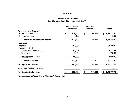## **Statement of Activities For The Year Ended December 31, 2020**

|                                                                                            |    | <b>Without Donor</b><br><b>Restrictions</b> |               | With Donor<br><b>Restrictions</b> | <b>Total</b> |                    |  |
|--------------------------------------------------------------------------------------------|----|---------------------------------------------|---------------|-----------------------------------|--------------|--------------------|--|
| <b>Revenues and Support</b><br><b>Grants and Contributions</b><br><b>Contract Services</b> | \$ | 1,429,722<br>4,150                          | \$<br>435,000 |                                   | \$           | 1,864,722<br>4,150 |  |
| <b>Total Revenues and Support</b>                                                          |    | 1,433,872                                   |               | 435,000                           |              | 1,868,872          |  |
| <b>Expenses</b><br>Program<br><b>Supporting Services</b>                                   |    | 362,007                                     |               |                                   |              | 362,007            |  |
| General and Administrative<br><b>Fundraising</b>                                           |    | 61,245<br>7,848                             |               |                                   |              | 61,245<br>7,848    |  |
| <b>Total Supporting Services</b>                                                           |    | 69,093                                      |               |                                   |              | 69,093             |  |
| <b>Total Expenses</b>                                                                      |    | 431,100                                     |               |                                   |              | 431,100            |  |
| <b>Change in Net Assets</b>                                                                |    | 1,002,772                                   |               | 435,000                           |              | 1,437,772          |  |
| Net Assets, Beginning of Year                                                              |    |                                             |               |                                   |              |                    |  |
| <b>Net Assets, End of Year</b>                                                             | \$ | 1,002,772                                   | \$            | 435,000                           | \$           | 1,437,772          |  |

**See Accompanying Notes to Financial Statements**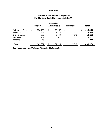|                          | Program       |    | General and<br>Administrative | Fundraising | <b>Total</b>  |
|--------------------------|---------------|----|-------------------------------|-------------|---------------|
| <b>Professional Fees</b> | \$<br>356,153 | \$ | 56,957                        | \$<br>-     | \$<br>413,110 |
| Insurance                | 229           |    | 1,835                         | ۰           | 2,064         |
| Office Expense           | 302           |    | 2,453                         | 7,848       | 10,603        |
| Marketing                | 5,107         |    | ۰                             | ۰           | 5,107         |
| <b>Meetings</b>          | 216           |    | ۰                             | ۰           | 216           |
| <b>Total</b>             | 362,007       | ፍ  | 61,245                        | 7,848       | 431,100       |

## **Statement of Functional Expenses For The Year Ended December 31, 2020**

**See Accompanying Notes to Financial Statements**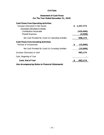# **Statement of Cash Flows For The Year Ended December 31, 2020**

| <b>Cash Flows from Operating Activities</b>           |     |           |
|-------------------------------------------------------|-----|-----------|
| Increase (Decrease) in Net Assets                     | \$. | 1,437,772 |
| (Increase) Decrease in Assets                         |     |           |
| <b>Contributions Receivable</b>                       |     | (435,000) |
| Prepaid Expenses                                      |     | (4,598)   |
| Net Cash Provided By (Used In) Operating Activities   |     | 998,174   |
| <b>Cash Flows from Investing Activities</b>           |     |           |
| Purchae of Investments                                | \$  | (15,000)  |
| Net Cash Provided By (Used In) Investing Activities   |     | (15,000)  |
| Increase (Decrease) in Cash                           |     | 983,174   |
| Cash, Beginning of Year                               |     |           |
| <b>Cash, End of Year</b>                              |     | 983,174   |
| <b>See Accompanying Notes to Financial Statements</b> |     |           |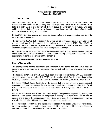#### **Notes to Financial Statements December 31, 2020**

#### **1. ORGANIZATION**

Civil Eats (Civil Eats) is a nonprofit news organization founded in 2009 with more 150 contributors who report on the evolving food landscape from Capitol Hill to Main Street. Civil Eats is a daily news source for critical thought about the American food system. Civil Eats publishes stories that shift the conversation around sustainable agriculture in an effort to build economically and socially just communities.

During 2020, Civil Eats became an independent organization and began operating outside of its fiscal sponsor arrangement.

The coronavirus (COVID-19) outbreak in the United States commenced prior to Civil Eats' fiscal year-end and has directly impacted its operations since early spring 2020 The COVID-19 pandemic caused a broad and negative impact on commerce and financial markets around the world including travel restrictions and limits on in-person gatherings.

Accordingly, the extent to which COVID-19 may impact Civil Eats' financial position and changes in net assets and cash flows is uncertain and the accompanying financial statements include no adjustments relating to the effects of this pandemic.

#### **2. SUMMARY OF SIGNIFICANT ACCOUNTING POLICIES**

#### **Basis of Presentation**

The accompanying financial statements are presented in accordance with the accrual basis of accounting, whereby revenue is recognized when earned and expenses are recognized when incurred.

The financial statements of Civil Eats have been prepared in accordance with U.S. generally accepted accounting principles (US GAAP), which requires Civil Eats to report information regarding its financial position and activities according to the following net asset classifications:

Net Assets Without Donor Restrictions: Net assets that are not subject to donor-imposed restrictions and may be expended for any purpose in performing the primary objectives of Civil Eats. These net assets may be used at the discretion of management and the Board of Directors.

Net Assets With Donor Restrictions: Net assets subject to stipulations imposed by donors, and grantors. Some donor restrictions are temporary in nature; those restrictions will be met by actions of Civil Eats or by the passage of time. Other donor restrictions are perpetual in nature, whereby the donor has stipulated the funds be maintained in perpetuity.

Donor restricted contributions are reported as increases in net assets with donor restrictions. When a restriction expires, net assets are reclassified from net assets with donor restrictions to net assets without donor restrictions in the statement of activities.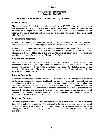## **Notes to Financial Statements December 31, 2020**

## **2. SUMMARY OF SIGNIFICANT ACCOUNTING POLICIES (CONTINUED)**

#### **Use of Estimates**

The preparation of financial statements in conformity with US GAAP requires management to make estimates and assumptions that affect the reported amounts of assets and liabilities and disclosure of contingent assets and liabilities at the date of the financial statements and the reported amounts of revenues and expenses during the reporting period. Actual results could differ from those estimates.

#### **Contributions Receivable**

Unconditional contributions receivable are recognized as revenue in the year promised. Conditional pledges to give are recognized when the conditions on which they depend are met.

Unconditional contributions receivable are valued at management's estimate of the amount that will ultimately be collected. The allowance for doubtful accounts is based on specific identification of uncollectible accounts and Civil Eats' historical collection experience. There was no allowance for doubtful accounts as of December 31, 2020.

#### **Property and Equipment**

Civil Eats follows the practice of capitalizing, at cost, all expenditures for property and equipment in excess of \$2,000. Depreciation and amortization is charged to activities using the straight-line method over the estimated useful lives of each asset. Civil Eats has capitalized the costs to build its website. The website was not operational as of year-end so amortization expense has not been recorded.

#### **Revenue Recognition**

Grants and contributions, including unconditional promises to give, are recognized as revenues in the period received or pledged. Conditional promises to give are not recognized until the conditions on which they depend are substantially met. Contributions of assets, other than cash, are recorded at their estimated fair value at the date of gift. Contributed services and materials are recorded at their estimated fair value if they would otherwise be purchased if not provided by donation and provided by professionals in their field. Management considers all outstanding contributions receivable amounts to be fully collectible. Accordingly, an allowance for doubtful accounts has not been established.

#### **Functional Expenses**

The costs of program and supporting services activities have been summarized on a functional basis in the statement of activities. The statement of functional expenses present the natural classification detail of expenses by function. Accordingly, office expenses have been allocated among the programs and supporting services benefits allocated on the basis of employee time and effort.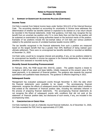## **Notes to Financial Statements December 31, 2020**

## **2. SUMMARY OF SIGNIFICANT ACCOUNTING POLICIES (CONTINUED)**

#### **Income Taxes**

Civil Eats is exempt from federal income taxes under Section  $501(c)(3)$  of the Internal Revenue Code. The accounting standard on accounting for uncertainty in income taxes addresses the determination of whether tax benefits claimed or expected to be claimed on a tax return should be recorded in the financial statements. Under that guidance, Civil Eats may recognize the tax benefit from an uncertain tax position only if it is more likely than not that the tax position will be sustained on examination by taxing authorities based on the technical merits of the position. Examples of tax positions include the tax-exempt status of Civil Eats and various positions related to the potential sources of unrelated business taxable income (UBIT).

The tax benefits recognized in the financial statements from such a position are measured based on the largest benefit that has a greater than 50% likelihood of being realized upon ultimate settlement. There were no unrecognized tax benefits identified or recorded as liabilities at December 31, 2020.

Civil Eats' policy would be to recognize interest and penalties, if any, on tax positions related to its unrecognized tax benefits in income tax expense in the financial statements. No interest and penalties were assessed or recorded during 2020.

#### **Recently Issued Accounting Pronouncement**

In February 2016, the FASB issued ASU 2016-02, Leases. The update requires a lessee to recognize a right-of-use asset and lease liability, initially measured at the present value of the lease payments, in its statement of financial position. The guidance also expands the required quantitative and qualitative lease disclosures. The guidance is effective beginning in 2022.

#### **Subsequent Events**

Management has evaluated subsequent events through November 4, 2021 the date which the financial statements were available to be issued. The accompanying financial statements recognize the effects of subsequent events that provided evidence about conditions that existed at the statement of financial position date, including the estimates inherent in the process of preparing financial statements. The accompanying financial statements do not recognize the effect of subsequent events with conditions that did not exist at the statement of financial position date, but disclosures of such events, if any, are included in the accompanying notes.

#### **3. CONCENTRATION OF CREDIT RISK**

Civil Eats maintains its cash at a federally insured financial institution. As of December 31, 2020, Civil Eats exceeded the FDIC limit by approximately \$717,000.